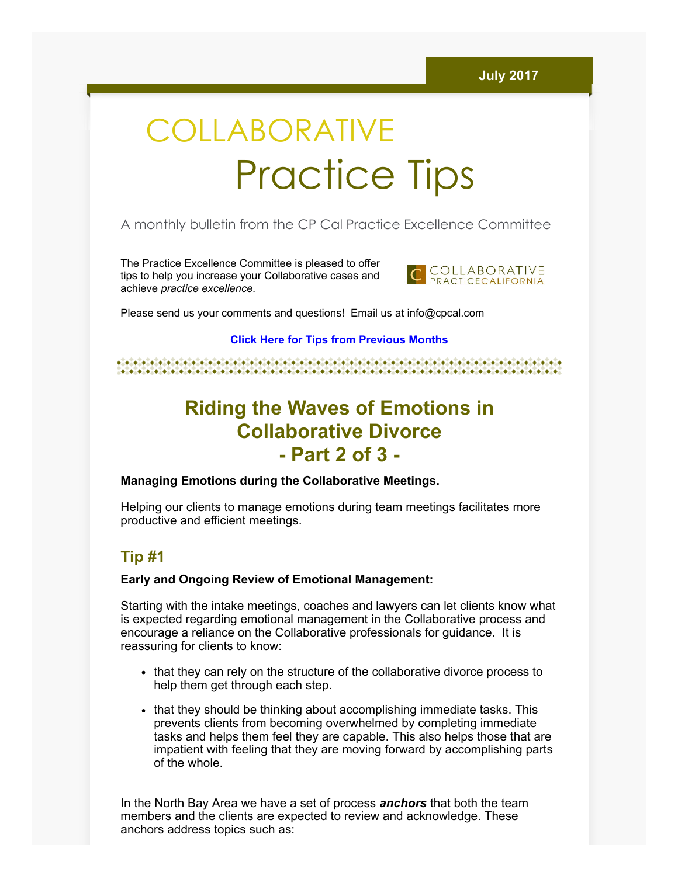# COLLABORATIVE Practice Tips

## A monthly bulletin from the CP Cal Practice Excellence Committee

The Practice Excellence Committee is pleased to offer tips to help you increase your Collaborative cases and achieve practice excellence.



Please send us your comments and questions! Email us at info@cpcal.com

Click Here for Tips from [Previous](https://www.dropbox.com/sh/nns7xqfkrgzi7sx/AACnvsWvEnTcndxaKdXGRv_Pa?dl=0) Months

# Riding the Waves of Emotions in Collaborative Divorce - Part 2 of 3 -

#### Managing Emotions during the Collaborative Meetings.

Helping our clients to manage emotions during team meetings facilitates more productive and efficient meetings.

## Tip #1

#### Early and Ongoing Review of Emotional Management:

Starting with the intake meetings, coaches and lawyers can let clients know what is expected regarding emotional management in the Collaborative process and encourage a reliance on the Collaborative professionals for guidance. It is reassuring for clients to know:

- that they can rely on the structure of the collaborative divorce process to help them get through each step.
- that they should be thinking about accomplishing immediate tasks. This prevents clients from becoming overwhelmed by completing immediate tasks and helps them feel they are capable. This also helps those that are impatient with feeling that they are moving forward by accomplishing parts of the whole.

In the North Bay Area we have a set of process **anchors** that both the team members and the clients are expected to review and acknowledge. These anchors address topics such as: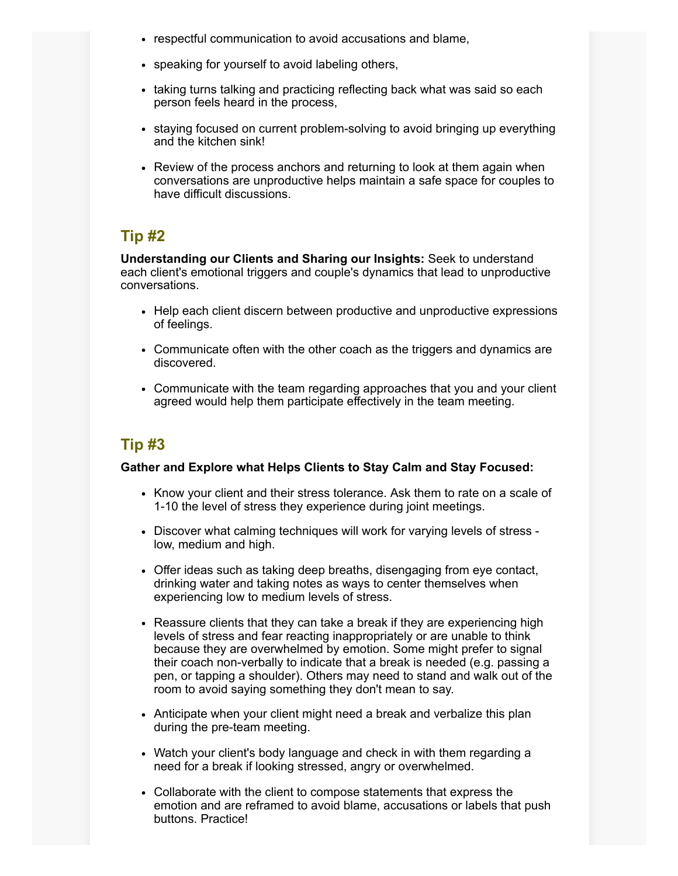- respectful communication to avoid accusations and blame,
- speaking for yourself to avoid labeling others,
- taking turns talking and practicing reflecting back what was said so each person feels heard in the process,
- staying focused on current problem-solving to avoid bringing up everything and the kitchen sink!
- Review of the process anchors and returning to look at them again when conversations are unproductive helps maintain a safe space for couples to have difficult discussions.

## Tip #2

Understanding our Clients and Sharing our Insights: Seek to understand each client's emotional triggers and couple's dynamics that lead to unproductive conversations.

- Help each client discern between productive and unproductive expressions of feelings.
- Communicate often with the other coach as the triggers and dynamics are discovered.
- Communicate with the team regarding approaches that you and your client agreed would help them participate effectively in the team meeting.

## Tip #3

#### Gather and Explore what Helps Clients to Stay Calm and Stay Focused:

- Know your client and their stress tolerance. Ask them to rate on a scale of 1-10 the level of stress they experience during joint meetings.
- Discover what calming techniques will work for varying levels of stress low, medium and high.
- Offer ideas such as taking deep breaths, disengaging from eye contact, drinking water and taking notes as ways to center themselves when experiencing low to medium levels of stress.
- Reassure clients that they can take a break if they are experiencing high levels of stress and fear reacting inappropriately or are unable to think because they are overwhelmed by emotion. Some might prefer to signal their coach non-verbally to indicate that a break is needed (e.g. passing a pen, or tapping a shoulder). Others may need to stand and walk out of the room to avoid saying something they don't mean to say.
- Anticipate when your client might need a break and verbalize this plan during the pre-team meeting.
- Watch your client's body language and check in with them regarding a need for a break if looking stressed, angry or overwhelmed.
- Collaborate with the client to compose statements that express the emotion and are reframed to avoid blame, accusations or labels that push buttons. Practice!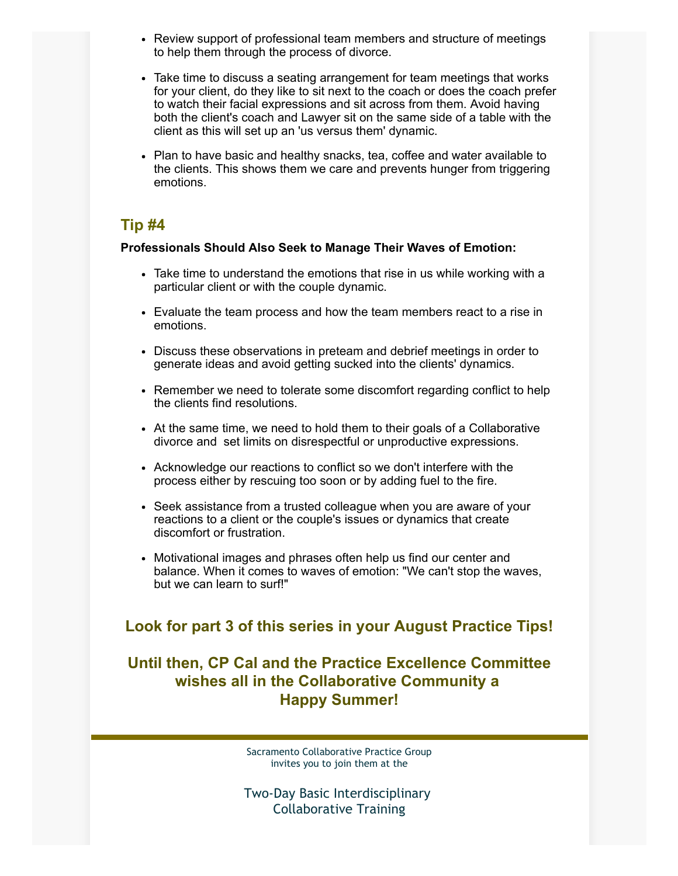- Review support of professional team members and structure of meetings to help them through the process of divorce.
- Take time to discuss a seating arrangement for team meetings that works for your client, do they like to sit next to the coach or does the coach prefer to watch their facial expressions and sit across from them. Avoid having both the client's coach and Lawyer sit on the same side of a table with the client as this will set up an 'us versus them' dynamic.
- Plan to have basic and healthy snacks, tea, coffee and water available to the clients. This shows them we care and prevents hunger from triggering emotions.

## Tip #4

#### Professionals Should Also Seek to Manage Their Waves of Emotion:

- Take time to understand the emotions that rise in us while working with a particular client or with the couple dynamic.
- Evaluate the team process and how the team members react to a rise in emotions.
- Discuss these observations in preteam and debrief meetings in order to generate ideas and avoid getting sucked into the clients' dynamics.
- Remember we need to tolerate some discomfort regarding conflict to help the clients find resolutions.
- At the same time, we need to hold them to their goals of a Collaborative divorce and set limits on disrespectful or unproductive expressions.
- Acknowledge our reactions to conflict so we don't interfere with the process either by rescuing too soon or by adding fuel to the fire.
- Seek assistance from a trusted colleague when you are aware of your reactions to a client or the couple's issues or dynamics that create discomfort or frustration.
- Motivational images and phrases often help us find our center and balance. When it comes to waves of emotion: "We can't stop the waves, but we can learn to surf!"

### Look for part 3 of this series in your August Practice Tips!

## Until then, CP Cal and the Practice Excellence Committee wishes all in the Collaborative Community a Happy Summer!

Sacramento Collaborative Practice Group invites you to join them at the

Two-Day Basic Interdisciplinary Collaborative Training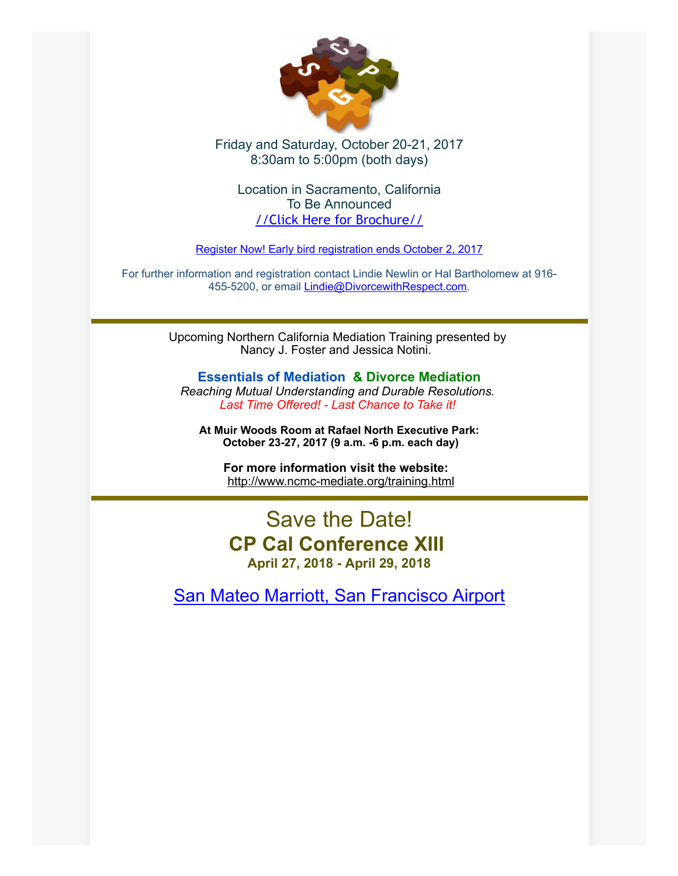

## Friday and Saturday, October 20-21, 2017 8:30am to 5:00pm (both days)

Location in Sacramento, California To Be Announced //Click Here for [Brochure//](http://files.constantcontact.com/1a1ee3dc001/71070240-d6da-452d-96cc-187671f92439.pdf)

Register Now! Early bird [registration](mailto:lindie@divorcewithrespect.com) ends October 2, 2017

For further information and registration contact Lindie Newlin or Hal Bartholomew at 916- 455-5200, or email [Lindie@DivorcewithRespect.com.](mailto:Lindie@DivorcewithRespect.com)

> Upcoming Northern California Mediation Training presented by Nancy J. Foster and Jessica Notini.

Essentials of Mediation & Divorce Mediation Reaching Mutual Understanding and Durable Resolutions. Last Time Offered! - Last Chance to Take it!

At Muir Woods Room at Rafael North Executive Park: October 23-27, 2017 (9 a.m. -6 p.m. each day)

For more information visit the website: [http://www.ncmc-mediate.org/training.html](http://www.ncmc-mediate.org/essentials.html)

## Save the Date! CP Cal Conference XIII April 27, 2018 - April 29, 2018

San Mateo Marriott, San [Francisco](http://www.marriott.com/hotels/travel/sfosa-san-mateo-marriott-san-francisco-airport/) Airport